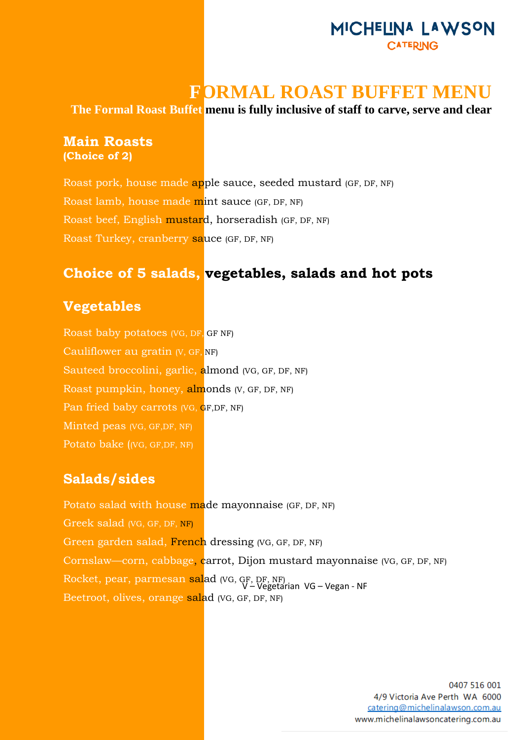# MICHELINA LAWSON CATERING

# **FORMAL ROAST BUFFET MENU**

**The Formal Roast Buffet menu is fully inclusive of staff to carve, serve and clear**

#### **Main Roasts (Choice of 2)**

Roast pork, house made apple sauce, seeded mustard (GF, DF, NF) Roast lamb, house made mint sauce (GF, DF, NF) Roast beef, English mustard, horseradish (GF, DF, NF) Roast Turkey, cranberry sauce (GF, DF, NF)

# **Choice of 5 salads, vegetables, salads and hot pots**

#### **Vegetables**

Roast baby potatoes (VG, DF, GF NF) Cauliflower au gratin (V, GF, NF) Sauteed broccolini, garlic, almond (VG, GF, DF, NF) Roast pumpkin, honey, almonds (V, GF, DF, NF) Pan fried baby carrots (VG, GF,DF, NF) Minted peas (VG, GF,DF, NF) Potato bake ((VG, GF,DF, NF)

### **Salads/sides**

Rocket, pear, parmesan sal<mark>ad (VG, GF, DF, NF)</mark><br>V–Vegetarian VG – Vegan - NF Potato salad with house made mayonnaise (GF, DF, NF) Greek salad (VG, GF, DF, NF) Green garden salad, French dressing (VG, GF, DF, NF) Cornslaw—corn, cabbage, carrot, Dijon mustard mayonnaise (VG, GF, DF, NF) Beetroot, olives, orange salad (VG, GF, DF, NF)

> 0407 516 001 4/9 Victoria Ave Perth WA 6000 catering@michelinalawson.com.au www.michelinalawsoncatering.com.au